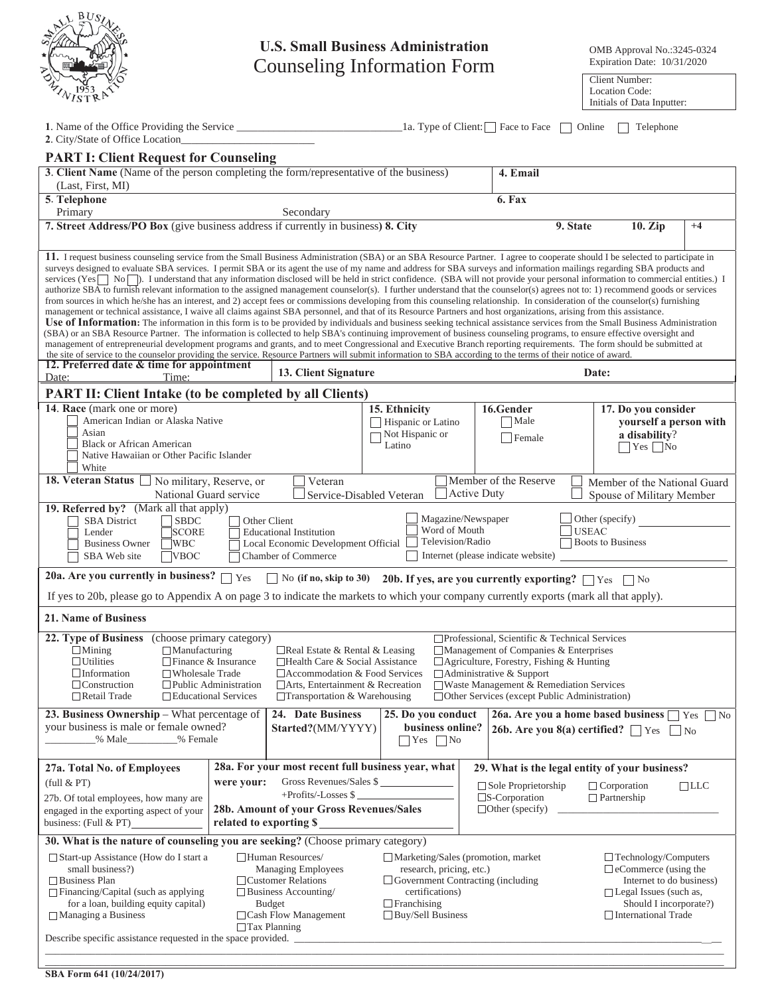| BUS.<br>z |
|-----------|
|           |
| τ?        |
| S         |

## **U.S. Small Business Administration**  Counseling Information Form Expiration Date:

OMB Approval No.:3245-0324 Expiration Date: 10/31/2020

Location Code: Initials of Data Inputter:

| 2. City/State of Office Location                                                                                                                                                                                                                                                                                                                                                                                                                                                                                                                                                                                                                                                                                                                                                                                                                                                                                                                                                                                                                                                                                                                                                                                                                                                                                                                                                                                                                                                                                                                                                                                                                                                                                                                                                                                                                             |            |                                                                                                                                                                      |                                                                                                                                                                                 |             | $\lceil$ 1a. Type of Client: $\lceil \cdot \rceil$ Face to Face                               | Online             | Telephone                                                                                                                                                                |            |
|--------------------------------------------------------------------------------------------------------------------------------------------------------------------------------------------------------------------------------------------------------------------------------------------------------------------------------------------------------------------------------------------------------------------------------------------------------------------------------------------------------------------------------------------------------------------------------------------------------------------------------------------------------------------------------------------------------------------------------------------------------------------------------------------------------------------------------------------------------------------------------------------------------------------------------------------------------------------------------------------------------------------------------------------------------------------------------------------------------------------------------------------------------------------------------------------------------------------------------------------------------------------------------------------------------------------------------------------------------------------------------------------------------------------------------------------------------------------------------------------------------------------------------------------------------------------------------------------------------------------------------------------------------------------------------------------------------------------------------------------------------------------------------------------------------------------------------------------------------------|------------|----------------------------------------------------------------------------------------------------------------------------------------------------------------------|---------------------------------------------------------------------------------------------------------------------------------------------------------------------------------|-------------|-----------------------------------------------------------------------------------------------|--------------------|--------------------------------------------------------------------------------------------------------------------------------------------------------------------------|------------|
| <b>PART I: Client Request for Counseling</b>                                                                                                                                                                                                                                                                                                                                                                                                                                                                                                                                                                                                                                                                                                                                                                                                                                                                                                                                                                                                                                                                                                                                                                                                                                                                                                                                                                                                                                                                                                                                                                                                                                                                                                                                                                                                                 |            |                                                                                                                                                                      |                                                                                                                                                                                 |             |                                                                                               |                    |                                                                                                                                                                          |            |
| 3. Client Name (Name of the person completing the form/representative of the business)                                                                                                                                                                                                                                                                                                                                                                                                                                                                                                                                                                                                                                                                                                                                                                                                                                                                                                                                                                                                                                                                                                                                                                                                                                                                                                                                                                                                                                                                                                                                                                                                                                                                                                                                                                       |            |                                                                                                                                                                      |                                                                                                                                                                                 |             | 4. Email                                                                                      |                    |                                                                                                                                                                          |            |
| (Last, First, MI)                                                                                                                                                                                                                                                                                                                                                                                                                                                                                                                                                                                                                                                                                                                                                                                                                                                                                                                                                                                                                                                                                                                                                                                                                                                                                                                                                                                                                                                                                                                                                                                                                                                                                                                                                                                                                                            |            |                                                                                                                                                                      |                                                                                                                                                                                 |             |                                                                                               |                    |                                                                                                                                                                          |            |
| 5. Telephone                                                                                                                                                                                                                                                                                                                                                                                                                                                                                                                                                                                                                                                                                                                                                                                                                                                                                                                                                                                                                                                                                                                                                                                                                                                                                                                                                                                                                                                                                                                                                                                                                                                                                                                                                                                                                                                 |            |                                                                                                                                                                      |                                                                                                                                                                                 |             | 6. Fax                                                                                        |                    |                                                                                                                                                                          |            |
| Primary<br>7. Street Address/PO Box (give business address if currently in business) 8. City                                                                                                                                                                                                                                                                                                                                                                                                                                                                                                                                                                                                                                                                                                                                                                                                                                                                                                                                                                                                                                                                                                                                                                                                                                                                                                                                                                                                                                                                                                                                                                                                                                                                                                                                                                 |            | Secondary                                                                                                                                                            |                                                                                                                                                                                 |             | 9. State                                                                                      |                    | 10. Zip                                                                                                                                                                  | $+4$       |
|                                                                                                                                                                                                                                                                                                                                                                                                                                                                                                                                                                                                                                                                                                                                                                                                                                                                                                                                                                                                                                                                                                                                                                                                                                                                                                                                                                                                                                                                                                                                                                                                                                                                                                                                                                                                                                                              |            |                                                                                                                                                                      |                                                                                                                                                                                 |             |                                                                                               |                    |                                                                                                                                                                          |            |
| 11. I request business counseling service from the Small Business Administration (SBA) or an SBA Resource Partner. I agree to cooperate should I be selected to participate in<br>surveys designed to evaluate SBA services. I permit SBA or its agent the use of my name and address for SBA surveys and information mailings regarding SBA products and<br>services (Yes $\Box$ No $\Box$ ). I understand that any information disclosed will be held in strict confidence. (SBA will not provide your personal information to commercial entities.) I<br>authorize SBA to furnish relevant information to the assigned management counselor(s). I further understand that the counselor(s) agrees not to: 1) recommend goods or services<br>from sources in which he/she has an interest, and 2) accept fees or commissions developing from this counseling relationship. In consideration of the counselor(s) furnishing<br>management or technical assistance, I waive all claims against SBA personnel, and that of its Resource Partners and host organizations, arising from this assistance.<br><b>Use of Information:</b> The information in this form is to be provided by individuals and business seeking technical assistance services from the Small Business Administration<br>(SBA) or an SBA Resource Partner. The information is collected to help SBA's continuing improvement of business counseling programs, to ensure effective oversight and<br>management of entrepreneurial development programs and grants, and to meet Congressional and Executive Branch reporting requirements. The form should be submitted at<br>the site of service to the counselor providing the service. Resource Partners will submit information to SBA according to the terms of their notice of award.<br>12. Preferred date & time for appointment |            |                                                                                                                                                                      |                                                                                                                                                                                 |             |                                                                                               |                    |                                                                                                                                                                          |            |
| Date:<br>Time:                                                                                                                                                                                                                                                                                                                                                                                                                                                                                                                                                                                                                                                                                                                                                                                                                                                                                                                                                                                                                                                                                                                                                                                                                                                                                                                                                                                                                                                                                                                                                                                                                                                                                                                                                                                                                                               |            | 13. Client Signature                                                                                                                                                 |                                                                                                                                                                                 |             |                                                                                               | Date:              |                                                                                                                                                                          |            |
| <b>PART II: Client Intake (to be completed by all Clients)</b>                                                                                                                                                                                                                                                                                                                                                                                                                                                                                                                                                                                                                                                                                                                                                                                                                                                                                                                                                                                                                                                                                                                                                                                                                                                                                                                                                                                                                                                                                                                                                                                                                                                                                                                                                                                               |            |                                                                                                                                                                      |                                                                                                                                                                                 |             |                                                                                               |                    |                                                                                                                                                                          |            |
| 14. Race (mark one or more)<br>American Indian or Alaska Native<br>Asian<br><b>Black or African American</b><br>Native Hawaiian or Other Pacific Islander<br>White                                                                                                                                                                                                                                                                                                                                                                                                                                                                                                                                                                                                                                                                                                                                                                                                                                                                                                                                                                                                                                                                                                                                                                                                                                                                                                                                                                                                                                                                                                                                                                                                                                                                                           |            |                                                                                                                                                                      | 15. Ethnicity<br>Hispanic or Latino<br>Not Hispanic or<br>Latino                                                                                                                |             | 16.Gender<br>Male<br>Female                                                                   |                    | 17. Do you consider<br>yourself a person with<br>a disability?<br>$\Box$ Yes $\Box$ No                                                                                   |            |
| 18. Veteran Status<br>No military, Reserve, or<br>National Guard service                                                                                                                                                                                                                                                                                                                                                                                                                                                                                                                                                                                                                                                                                                                                                                                                                                                                                                                                                                                                                                                                                                                                                                                                                                                                                                                                                                                                                                                                                                                                                                                                                                                                                                                                                                                     |            | Veteran<br>Service-Disabled Veteran                                                                                                                                  |                                                                                                                                                                                 | Active Duty | Member of the Reserve                                                                         |                    | Member of the National Guard<br>Spouse of Military Member                                                                                                                |            |
| 19. Referred by? (Mark all that apply)<br>Magazine/Newspaper<br>Other (specify)<br><b>SBA</b> District<br>$\exists$ SBDC<br>Other Client<br>Word of Mouth<br><b>USEAC</b><br><b>SCORE</b><br>Lender<br><b>Educational Institution</b><br>Television/Radio<br>Boots to Business<br><b>Business Owner</b><br><b>WBC</b><br>Local Economic Development Official<br>Internet (please indicate website)<br>SBA Web site<br><b>VBOC</b><br><b>Chamber of Commerce</b>                                                                                                                                                                                                                                                                                                                                                                                                                                                                                                                                                                                                                                                                                                                                                                                                                                                                                                                                                                                                                                                                                                                                                                                                                                                                                                                                                                                              |            |                                                                                                                                                                      |                                                                                                                                                                                 |             |                                                                                               |                    |                                                                                                                                                                          |            |
| 20a. Are you currently in business? $\Box$ Yes<br>$\blacksquare$ No (if no, skip to 30)<br>20b. If yes, are you currently exporting? $\Box$ Yes<br>$\Box$ No<br>If yes to 20b, please go to Appendix A on page 3 to indicate the markets to which your company currently exports (mark all that apply).                                                                                                                                                                                                                                                                                                                                                                                                                                                                                                                                                                                                                                                                                                                                                                                                                                                                                                                                                                                                                                                                                                                                                                                                                                                                                                                                                                                                                                                                                                                                                      |            |                                                                                                                                                                      |                                                                                                                                                                                 |             |                                                                                               |                    |                                                                                                                                                                          |            |
| <b>21. Name of Business</b>                                                                                                                                                                                                                                                                                                                                                                                                                                                                                                                                                                                                                                                                                                                                                                                                                                                                                                                                                                                                                                                                                                                                                                                                                                                                                                                                                                                                                                                                                                                                                                                                                                                                                                                                                                                                                                  |            |                                                                                                                                                                      |                                                                                                                                                                                 |             |                                                                                               |                    |                                                                                                                                                                          |            |
| 22. Type of Business<br>$\Box$ Professional, Scientific & Technical Services<br>(choose primary category)<br>$\Box$ Manufacturing<br>$\Box$ Management of Companies & Enterprises<br>$\Box$ Mining<br>$\Box$ Real Estate & Rental & Leasing<br>$\Box$ Utilities<br>$\Box$ Finance & Insurance<br>$\Box$ Agriculture, Forestry, Fishing & Hunting<br>□Health Care & Social Assistance<br>$\Box$ Information<br>$\Box$ Wholesale Trade<br>□ Accommodation & Food Services<br>$\Box$ Administrative & Support<br>$\Box$ Construction<br>$\Box$ Waste Management & Remediation Services<br>$\Box$ Public Administration<br>$\Box$ Arts, Entertainment & Recreation<br>$\Box$ Other Services (except Public Administration)<br>$\Box$ Retail Trade<br>□ Educational Services<br>$\Box$ Transportation & Warehousing                                                                                                                                                                                                                                                                                                                                                                                                                                                                                                                                                                                                                                                                                                                                                                                                                                                                                                                                                                                                                                               |            |                                                                                                                                                                      |                                                                                                                                                                                 |             |                                                                                               |                    |                                                                                                                                                                          |            |
| 23. Business Ownership - What percentage of<br>your business is male or female owned?<br>% Male_________% Female                                                                                                                                                                                                                                                                                                                                                                                                                                                                                                                                                                                                                                                                                                                                                                                                                                                                                                                                                                                                                                                                                                                                                                                                                                                                                                                                                                                                                                                                                                                                                                                                                                                                                                                                             |            | 24. Date Business<br>Started?(MM/YYYY)                                                                                                                               | 25. Do you conduct<br>business online?<br>$\exists$ Yes $\Box$ No                                                                                                               |             | 26a. Are you a home based business 7 Yes<br>26b. Are you 8(a) certified? $\Box$ Yes $\Box$ No |                    |                                                                                                                                                                          | No         |
| 27a. Total No. of Employees                                                                                                                                                                                                                                                                                                                                                                                                                                                                                                                                                                                                                                                                                                                                                                                                                                                                                                                                                                                                                                                                                                                                                                                                                                                                                                                                                                                                                                                                                                                                                                                                                                                                                                                                                                                                                                  |            | 28a. For your most recent full business year, what                                                                                                                   |                                                                                                                                                                                 |             | 29. What is the legal entity of your business?                                                |                    |                                                                                                                                                                          |            |
| (full & PT)                                                                                                                                                                                                                                                                                                                                                                                                                                                                                                                                                                                                                                                                                                                                                                                                                                                                                                                                                                                                                                                                                                                                                                                                                                                                                                                                                                                                                                                                                                                                                                                                                                                                                                                                                                                                                                                  | were your: | Gross Revenues/Sales \$                                                                                                                                              |                                                                                                                                                                                 |             | $\Box$ Sole Proprietorship                                                                    | $\Box$ Corporation |                                                                                                                                                                          | $\Box$ LLC |
| 27b. Of total employees, how many are<br>engaged in the exporting aspect of your<br>business: (Full $& PT$ )                                                                                                                                                                                                                                                                                                                                                                                                                                                                                                                                                                                                                                                                                                                                                                                                                                                                                                                                                                                                                                                                                                                                                                                                                                                                                                                                                                                                                                                                                                                                                                                                                                                                                                                                                 |            | +Profits/-Losses \$<br>28b. Amount of your Gross Revenues/Sales<br>related to exporting \$                                                                           |                                                                                                                                                                                 |             | $\square$ S-Corporation<br>$\Box$ Other (specify)                                             | $\Box$ Partnership |                                                                                                                                                                          |            |
| 30. What is the nature of counseling you are seeking? (Choose primary category)                                                                                                                                                                                                                                                                                                                                                                                                                                                                                                                                                                                                                                                                                                                                                                                                                                                                                                                                                                                                                                                                                                                                                                                                                                                                                                                                                                                                                                                                                                                                                                                                                                                                                                                                                                              |            |                                                                                                                                                                      |                                                                                                                                                                                 |             |                                                                                               |                    |                                                                                                                                                                          |            |
| $\Box$ Start-up Assistance (How do I start a<br>small business?)<br>$\Box$ Business Plan<br>$\Box$ Financing/Capital (such as applying<br>for a loan, building equity capital)<br>$\Box$ Managing a Business<br>Describe specific assistance requested in the space provided.                                                                                                                                                                                                                                                                                                                                                                                                                                                                                                                                                                                                                                                                                                                                                                                                                                                                                                                                                                                                                                                                                                                                                                                                                                                                                                                                                                                                                                                                                                                                                                                |            | Human Resources/<br><b>Managing Employees</b><br>$\Box$ Customer Relations<br>$\Box$ Business Accounting/<br>Budget<br>□ Cash Flow Management<br>$\Box$ Tax Planning | $\Box$ Marketing/Sales (promotion, market<br>research, pricing, etc.)<br>$\Box$ Government Contracting (including<br>certifications)<br>$\Box$ Franchising<br>Buy/Sell Business |             |                                                                                               |                    | $\Box$ Technology/Computers<br>$\Box$ eCommerce (using the<br>Internet to do business)<br>$\Box$ Legal Issues (such as,<br>Should I incorporate?)<br>International Trade |            |

\_\_\_\_\_\_\_\_\_\_\_\_\_\_\_\_\_\_\_\_\_\_\_\_\_\_\_\_\_\_\_\_\_\_\_\_\_\_\_\_\_\_\_\_\_\_\_\_\_\_\_\_\_\_\_\_\_\_\_\_\_\_\_\_\_\_\_\_\_\_\_\_\_\_\_\_\_\_\_\_\_\_\_\_\_\_\_\_\_\_\_\_\_\_\_\_\_\_\_\_\_\_\_\_\_\_\_\_\_\_\_\_\_\_\_\_\_\_\_\_\_\_\_\_\_\_\_\_\_\_\_\_\_\_\_  $\_$  , and the set of the set of the set of the set of the set of the set of the set of the set of the set of the set of the set of the set of the set of the set of the set of the set of the set of the set of the set of th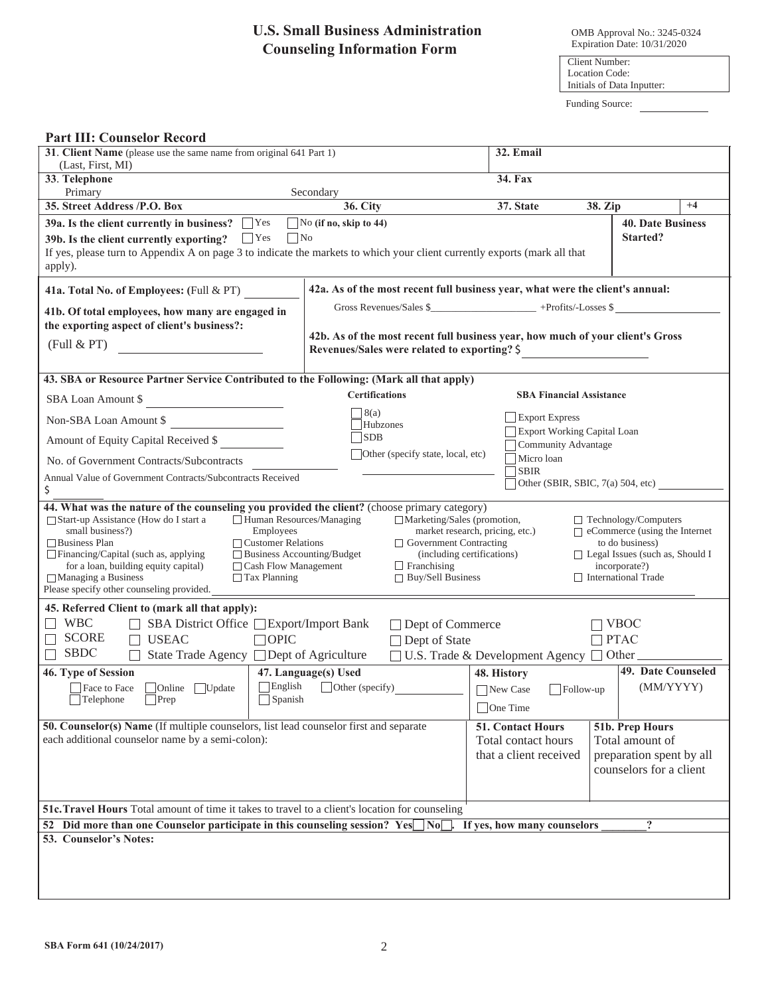## **U.S. Small Business Administration Counseling Information Form**

OMB Approval No.: 3245-0324 Expiration Date: 10/31/2020

Client Number: Location Code: Initials of Data Inputter:

Funding Source:

| <b>31. Client Name</b> (please use the same name from original 641 Part 1)                                                                                                                                                                                                                                                                                                                                                                                                                                                                                                                                                                                                                                                                                                                     | 32. Email                                                                                                                                                                                               |                                                         |                                      |  |  |  |
|------------------------------------------------------------------------------------------------------------------------------------------------------------------------------------------------------------------------------------------------------------------------------------------------------------------------------------------------------------------------------------------------------------------------------------------------------------------------------------------------------------------------------------------------------------------------------------------------------------------------------------------------------------------------------------------------------------------------------------------------------------------------------------------------|---------------------------------------------------------------------------------------------------------------------------------------------------------------------------------------------------------|---------------------------------------------------------|--------------------------------------|--|--|--|
| (Last, First, MI)<br>33. Telephone                                                                                                                                                                                                                                                                                                                                                                                                                                                                                                                                                                                                                                                                                                                                                             |                                                                                                                                                                                                         | 34. Fax                                                 |                                      |  |  |  |
| Primary                                                                                                                                                                                                                                                                                                                                                                                                                                                                                                                                                                                                                                                                                                                                                                                        | Secondary                                                                                                                                                                                               |                                                         |                                      |  |  |  |
| 35. Street Address /P.O. Box                                                                                                                                                                                                                                                                                                                                                                                                                                                                                                                                                                                                                                                                                                                                                                   | <b>36. City</b>                                                                                                                                                                                         | 37. State                                               | $+4$<br>38. Zip                      |  |  |  |
| 39a. Is the client currently in business? $\Box$ Yes<br>$\Box$ No<br>$\Gamma$ Yes<br>39b. Is the client currently exporting?<br>If yes, please turn to Appendix A on page 3 to indicate the markets to which your client currently exports (mark all that<br>apply).                                                                                                                                                                                                                                                                                                                                                                                                                                                                                                                           | $\Box$ No (if no, skip to 44)                                                                                                                                                                           |                                                         | <b>40. Date Business</b><br>Started? |  |  |  |
| 41a. Total No. of Employees: (Full & PT)                                                                                                                                                                                                                                                                                                                                                                                                                                                                                                                                                                                                                                                                                                                                                       | 42a. As of the most recent full business year, what were the client's annual:                                                                                                                           |                                                         |                                      |  |  |  |
| 41b. Of total employees, how many are engaged in<br>the exporting aspect of client's business?:<br>(Full & PT)                                                                                                                                                                                                                                                                                                                                                                                                                                                                                                                                                                                                                                                                                 | Gross Revenues/Sales \$___________________________+Profits/-Losses \$<br>42b. As of the most recent full business year, how much of your client's Gross<br>Revenues/Sales were related to exporting? \$ |                                                         |                                      |  |  |  |
| 43. SBA or Resource Partner Service Contributed to the Following: (Mark all that apply)                                                                                                                                                                                                                                                                                                                                                                                                                                                                                                                                                                                                                                                                                                        |                                                                                                                                                                                                         |                                                         |                                      |  |  |  |
| SBA Loan Amount \$                                                                                                                                                                                                                                                                                                                                                                                                                                                                                                                                                                                                                                                                                                                                                                             | <b>Certifications</b>                                                                                                                                                                                   | <b>SBA Financial Assistance</b>                         |                                      |  |  |  |
| Non-SBA Loan Amount \$                                                                                                                                                                                                                                                                                                                                                                                                                                                                                                                                                                                                                                                                                                                                                                         | 8(a)<br>Hubzones                                                                                                                                                                                        | <b>Export Express</b>                                   |                                      |  |  |  |
| Amount of Equity Capital Received \$                                                                                                                                                                                                                                                                                                                                                                                                                                                                                                                                                                                                                                                                                                                                                           | <b>SDB</b>                                                                                                                                                                                              | Export Working Capital Loan<br>Community Advantage      |                                      |  |  |  |
| No. of Government Contracts/Subcontracts                                                                                                                                                                                                                                                                                                                                                                                                                                                                                                                                                                                                                                                                                                                                                       | Other (specify state, local, etc)                                                                                                                                                                       | Micro loan                                              |                                      |  |  |  |
| <b>SBIR</b><br>Annual Value of Government Contracts/Subcontracts Received<br>Other (SBIR, SBIC, $7(a)$ 504, etc)<br>\$                                                                                                                                                                                                                                                                                                                                                                                                                                                                                                                                                                                                                                                                         |                                                                                                                                                                                                         |                                                         |                                      |  |  |  |
| □ Human Resources/Managing<br>□ Marketing/Sales (promotion,<br>$\Box$ Start-up Assistance (How do I start a<br>$\Box$ Technology/Computers<br>$\Box$ eCommerce (using the Internet<br>small business?)<br>market research, pricing, etc.)<br>Employees<br>$\Box$ Business Plan<br>$\Box$ Customer Relations<br>$\Box$ Government Contracting<br>to do business)<br>$\Box$ Financing/Capital (such as, applying<br>$\Box$ Business Accounting/Budget<br>(including certifications)<br>$\Box$ Legal Issues (such as, Should I<br>for a loan, building equity capital)<br>$\Box$ Cash Flow Management<br>$\Box$ Franchising<br>incorporate?)<br>$\Box$ Managing a Business<br>$\Box$ Tax Planning<br>$\Box$ Buy/Sell Business<br>International Trade<br>Please specify other counseling provided. |                                                                                                                                                                                                         |                                                         |                                      |  |  |  |
| 45. Referred Client to (mark all that apply):                                                                                                                                                                                                                                                                                                                                                                                                                                                                                                                                                                                                                                                                                                                                                  |                                                                                                                                                                                                         |                                                         |                                      |  |  |  |
| <b>WBC</b><br>SBA District Office □ Export/Import Bank<br><b>SCORE</b><br><b>USEAC</b><br>$\Box$ OPIC<br><b>SBDC</b><br>State Trade Agency □ Dept of Agriculture                                                                                                                                                                                                                                                                                                                                                                                                                                                                                                                                                                                                                               | □ Dept of Commerce<br>$\Box$ Dept of State                                                                                                                                                              | $\Box$ U.S. Trade & Development Agency $\Box$ Other     | <b>VBOC</b><br><b>PTAC</b>           |  |  |  |
| 46. Type of Session<br>$\Box$ English<br>Online Update<br>Face to Face<br>Spanish<br>$\Box$ Telephone<br>$\Box$ Prep                                                                                                                                                                                                                                                                                                                                                                                                                                                                                                                                                                                                                                                                           | 47. Language(s) Used<br>Other (specify)                                                                                                                                                                 | 48. History<br>New Case<br>$\Box$ Follow-up<br>One Time | 49. Date Counseled<br>(MM/YYYY)      |  |  |  |
| 50. Counselor(s) Name (If multiple counselors, list lead counselor first and separate<br>each additional counselor name by a semi-colon):                                                                                                                                                                                                                                                                                                                                                                                                                                                                                                                                                                                                                                                      | 51b. Prep Hours<br>51. Contact Hours<br>Total contact hours<br>Total amount of<br>that a client received<br>preparation spent by all<br>counselors for a client                                         |                                                         |                                      |  |  |  |
| 51c. Travel Hours Total amount of time it takes to travel to a client's location for counseling                                                                                                                                                                                                                                                                                                                                                                                                                                                                                                                                                                                                                                                                                                |                                                                                                                                                                                                         |                                                         |                                      |  |  |  |
| 52 Did more than one Counselor participate in this counseling session? Yes No<br>$\overline{?}$<br>If yes, how many counselors                                                                                                                                                                                                                                                                                                                                                                                                                                                                                                                                                                                                                                                                 |                                                                                                                                                                                                         |                                                         |                                      |  |  |  |
| 53. Counselor's Notes:                                                                                                                                                                                                                                                                                                                                                                                                                                                                                                                                                                                                                                                                                                                                                                         |                                                                                                                                                                                                         |                                                         |                                      |  |  |  |

**Part III: Counselor Record**